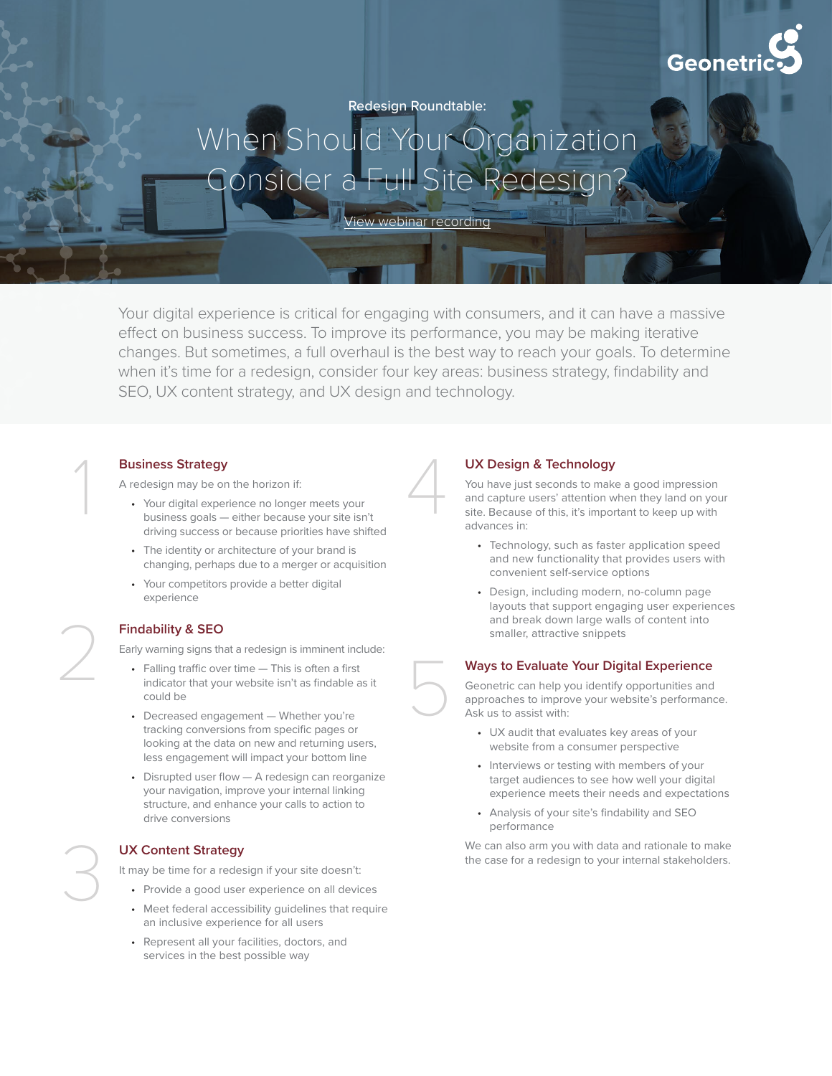

Redesign Roundtable:

# When Should Your Organization Consider a Full Site Redesig

[View webinar recording](https://www.geonetric.com/website-design/redesign-roundtable-when-to-consider-a-full-site-redesign/)

Your digital experience is critical for engaging with consumers, and it can have a massive effect on business success. To improve its performance, you may be making iterative changes. But sometimes, a full overhaul is the best way to reach your goals. To determine when it's time for a redesign, consider four key areas: business strategy, findability and SEO, UX content strategy, and UX design and technology.

# **Business Strategy**  1

A redesign may be on the horizon if:

- Your digital experience no longer meets your business goals — either because your site isn't driving success or because priorities have shifted
- The identity or architecture of your brand is changing, perhaps due to a merger or acquisition
- Your competitors provide a better digital experience

# **Findability & SEO**

Early warning signs that a redesign is imminent include:

- Falling traffic over time This is often a first indicator that your website isn't as findable as it could be
- Decreased engagement Whether you're tracking conversions from specific pages or looking at the data on new and returning users, less engagement will impact your bottom line
- Disrupted user flow A redesign can reorganize your navigation, improve your internal linking structure, and enhance your calls to action to drive conversions

# **UX Content Strategy**

It may be time for a redesign if your site doesn't:

- Provide a good user experience on all devices
- Meet federal accessibility guidelines that require an inclusive experience for all users
- Represent all your facilities, doctors, and services in the best possible way



5

### **UX Design & Technology**

You have just seconds to make a good impression and capture users' attention when they land on your site. Because of this, it's important to keep up with advances in:

- Technology, such as faster application speed and new functionality that provides users with convenient self-service options
- Design, including modern, no-column page layouts that support engaging user experiences and break down large walls of content into smaller, attractive snippets

# **Ways to Evaluate Your Digital Experience**

Geonetric can help you identify opportunities and approaches to improve your website's performance. Ask us to assist with:

- UX audit that evaluates key areas of your website from a consumer perspective
- Interviews or testing with members of your target audiences to see how well your digital experience meets their needs and expectations
- Analysis of your site's findability and SEO performance

We can also arm you with data and rationale to make the case for a redesign to your internal stakeholders.



3